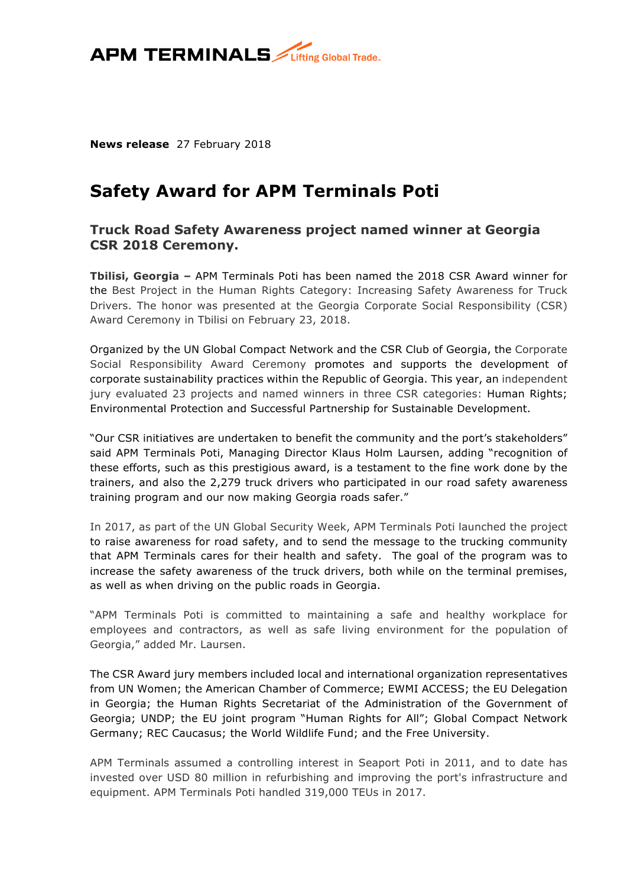

**News release** 27 February 2018

# **Safety Award for APM Terminals Poti**

## **Truck Road Safety Awareness project named winner at Georgia CSR 2018 Ceremony.**

**Tbilisi, Georgia –** APM Terminals Poti has been named the 2018 CSR Award winner for the Best Project in the Human Rights Category: Increasing Safety Awareness for Truck Drivers. The honor was presented at the Georgia Corporate Social Responsibility (CSR) Award Ceremony in Tbilisi on February 23, 2018.

Organized by the UN Global Compact Network and the CSR Club of Georgia, the Corporate Social Responsibility Award Ceremony promotes and supports the development of corporate sustainability practices within the Republic of Georgia. This year, an independent jury evaluated 23 projects and named winners in three CSR categories: Human Rights; Environmental Protection and Successful Partnership for Sustainable Development.

"Our CSR initiatives are undertaken to benefit the community and the port's stakeholders" said APM Terminals Poti, Managing Director Klaus Holm Laursen, adding "recognition of these efforts, such as this prestigious award, is a testament to the fine work done by the trainers, and also the 2,279 truck drivers who participated in our road safety awareness training program and our now making Georgia roads safer."

In 2017, as part of the UN Global Security Week, APM Terminals Poti launched the project to raise awareness for road safety, and to send the message to the trucking community that APM Terminals cares for their health and safety. The goal of the program was to increase the safety awareness of the truck drivers, both while on the terminal premises, as well as when driving on the public roads in Georgia.

"APM Terminals Poti is committed to maintaining a safe and healthy workplace for employees and contractors, as well as safe living environment for the population of Georgia," added Mr. Laursen.

The CSR Award jury members included local and international organization representatives from UN Women; the American Chamber of Commerce; EWMI ACCESS; the EU Delegation in Georgia; the Human Rights Secretariat of the Administration of the Government of Georgia; UNDP; the EU joint program "Human Rights for All"; Global Compact Network Germany; REC Caucasus; the World Wildlife Fund; and the Free University.

APM Terminals assumed a controlling interest in Seaport Poti in 2011, and to date has invested over USD 80 million in refurbishing and improving the port's infrastructure and equipment. APM Terminals Poti handled 319,000 TEUs in 2017.